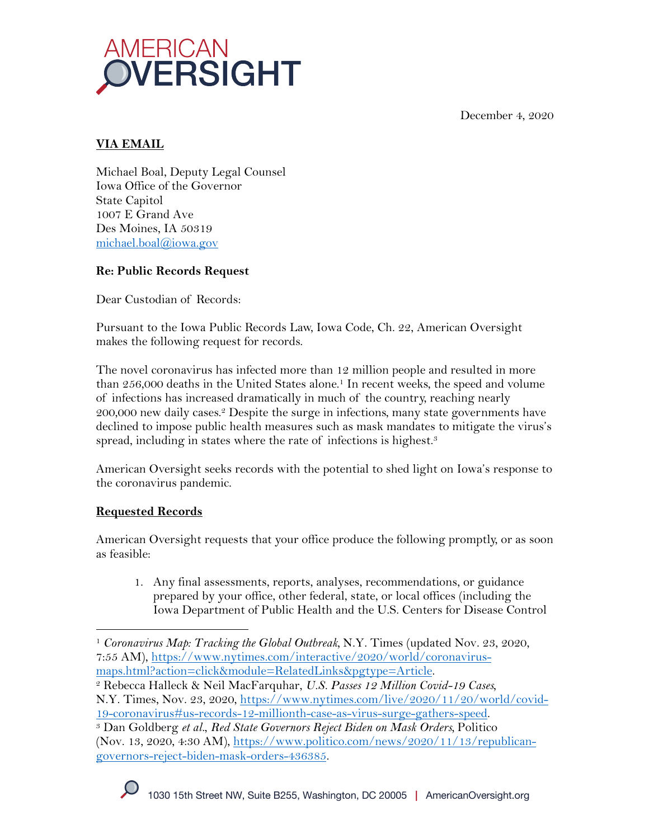December 4, 2020



# **VIA EMAIL**

Michael Boal, Deputy Legal Counsel Iowa Office of the Governor State Capitol 1007 E Grand Ave Des Moines, IA 50319 michael.boal@iowa.gov

# **Re: Public Records Request**

Dear Custodian of Records:

Pursuant to the Iowa Public Records Law, Iowa Code, Ch. 22, American Oversight makes the following request for records.

The novel coronavirus has infected more than 12 million people and resulted in more than 256,000 deaths in the United States alone.<sup>1</sup> In recent weeks, the speed and volume of infections has increased dramatically in much of the country, reaching nearly 200,000 new daily cases.2 Despite the surge in infections, many state governments have declined to impose public health measures such as mask mandates to mitigate the virus's spread, including in states where the rate of infections is highest.<sup>3</sup>

American Oversight seeks records with the potential to shed light on Iowa's response to the coronavirus pandemic.

# **Requested Records**

American Oversight requests that your office produce the following promptly, or as soon as feasible:

1. Any final assessments, reports, analyses, recommendations, or guidance prepared by your office, other federal, state, or local offices (including the Iowa Department of Public Health and the U.S. Centers for Disease Control

N.Y. Times, Nov. 23, 2020, https://www.nytimes.com/live/2020/11/20/world/covid-

<sup>1</sup> *Coronavirus Map: Tracking the Global Outbreak,* N.Y. Times (updated Nov. 23, 2020, 7:55 AM), https://www.nytimes.com/interactive/2020/world/coronavirusmaps.html?action=click&module=RelatedLinks&pgtype=Article. 2 Rebecca Halleck & Neil MacFarquhar, *U.S. Passes 12 Million Covid-19 Cases,* 

<sup>19-</sup>coronavirus#us-records-12-millionth-case-as-virus-surge-gathers-speed. 3 Dan Goldberg *et al.*, *Red State Governors Reject Biden on Mask Orders,* Politico (Nov. 13, 2020, 4:30 AM), https://www.politico.com/news/2020/11/13/republicangovernors-reject-biden-mask-orders-436385.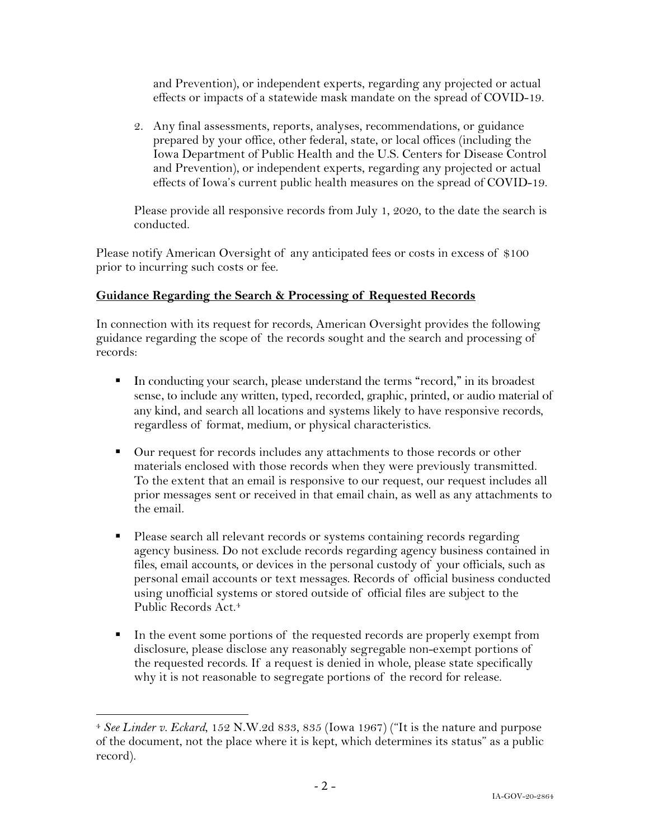and Prevention), or independent experts, regarding any projected or actual effects or impacts of a statewide mask mandate on the spread of COVID-19.

2. Any final assessments, reports, analyses, recommendations, or guidance prepared by your office, other federal, state, or local offices (including the Iowa Department of Public Health and the U.S. Centers for Disease Control and Prevention), or independent experts, regarding any projected or actual effects of Iowa's current public health measures on the spread of COVID-19.

Please provide all responsive records from July 1, 2020, to the date the search is conducted.

Please notify American Oversight of any anticipated fees or costs in excess of \$100 prior to incurring such costs or fee.

## **Guidance Regarding the Search & Processing of Requested Records**

In connection with its request for records, American Oversight provides the following guidance regarding the scope of the records sought and the search and processing of records:

- § In conducting your search, please understand the terms "record," in its broadest sense, to include any written, typed, recorded, graphic, printed, or audio material of any kind, and search all locations and systems likely to have responsive records, regardless of format, medium, or physical characteristics.
- Our request for records includes any attachments to those records or other materials enclosed with those records when they were previously transmitted. To the extent that an email is responsive to our request, our request includes all prior messages sent or received in that email chain, as well as any attachments to the email.
- Please search all relevant records or systems containing records regarding agency business. Do not exclude records regarding agency business contained in files, email accounts, or devices in the personal custody of your officials, such as personal email accounts or text messages. Records of official business conducted using unofficial systems or stored outside of official files are subject to the Public Records Act. 4
- In the event some portions of the requested records are properly exempt from disclosure, please disclose any reasonably segregable non-exempt portions of the requested records. If a request is denied in whole, please state specifically why it is not reasonable to segregate portions of the record for release.

<sup>4</sup> *See Linder v. Eckard*, 152 N.W.2d 833, 835 (Iowa 1967) ("It is the nature and purpose of the document, not the place where it is kept, which determines its status" as a public record).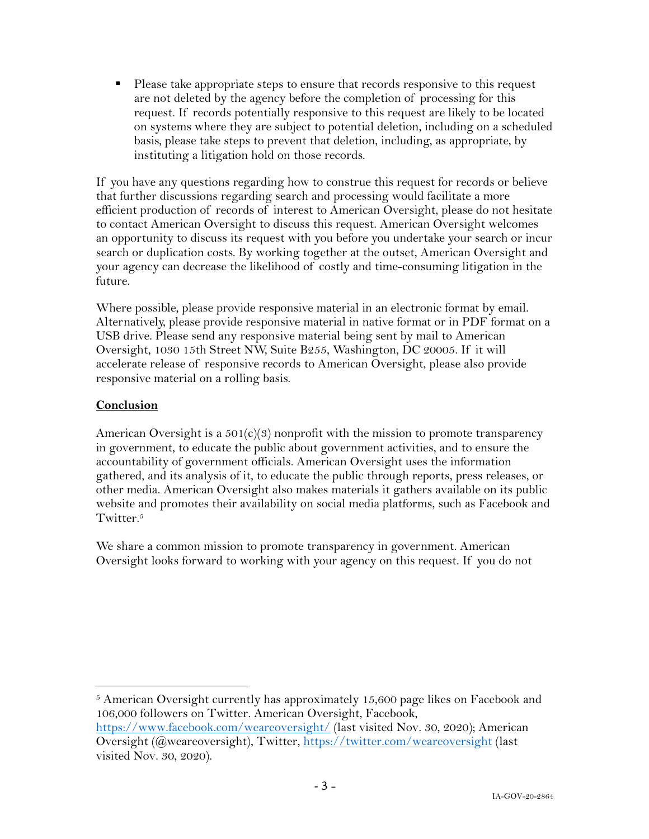■ Please take appropriate steps to ensure that records responsive to this request are not deleted by the agency before the completion of processing for this request. If records potentially responsive to this request are likely to be located on systems where they are subject to potential deletion, including on a scheduled basis, please take steps to prevent that deletion, including, as appropriate, by instituting a litigation hold on those records.

If you have any questions regarding how to construe this request for records or believe that further discussions regarding search and processing would facilitate a more efficient production of records of interest to American Oversight, please do not hesitate to contact American Oversight to discuss this request. American Oversight welcomes an opportunity to discuss its request with you before you undertake your search or incur search or duplication costs. By working together at the outset, American Oversight and your agency can decrease the likelihood of costly and time-consuming litigation in the future.

Where possible, please provide responsive material in an electronic format by email. Alternatively, please provide responsive material in native format or in PDF format on a USB drive. Please send any responsive material being sent by mail to American Oversight, 1030 15th Street NW, Suite B255, Washington, DC 20005. If it will accelerate release of responsive records to American Oversight, please also provide responsive material on a rolling basis.

## **Conclusion**

American Oversight is a  $501(c)(3)$  nonprofit with the mission to promote transparency in government, to educate the public about government activities, and to ensure the accountability of government officials. American Oversight uses the information gathered, and its analysis of it, to educate the public through reports, press releases, or other media. American Oversight also makes materials it gathers available on its public website and promotes their availability on social media platforms, such as Facebook and Twitter.<sup>5</sup>

We share a common mission to promote transparency in government. American Oversight looks forward to working with your agency on this request. If you do not

 $5$  American Oversight currently has approximately 15,600 page likes on Facebook and 106,000 followers on Twitter. American Oversight, Facebook, https://www.facebook.com/weareoversight/ (last visited Nov. 30, 2020); American

Oversight (@weareoversight), Twitter, https://twitter.com/weareoversight (last visited Nov. 30, 2020).